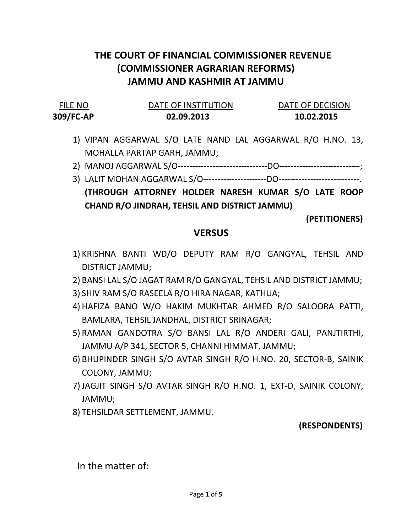# THE COURT OF FINANCIAL COMMISSIONER REVENUE (COMMISSIONER AGRARIAN REFORMS) JAMMU AND KASHMIR AT JAMMU

#### FILE NO **DATE OF INSTITUTION** DATE OF DECISION 309/FC-AP 02.09.2013 10.02.2015

- 1) VIPAN AGGARWAL S/O LATE NAND LAL AGGARWAL R/O H.NO. 13, MOHALLA PARTAP GARH, JAMMU;
- 2) MANOJ AGGARWAL S/O-------------------------------DO----------------------------;
- 3) LALIT MOHAN AGGARWAL S/O----------------------DO----------------------------. (THROUGH ATTORNEY HOLDER NARESH KUMAR S/O LATE ROOP CHAND R/O JINDRAH, TEHSIL AND DISTRICT JAMMU)

(PETITIONERS)

#### **VERSUS**

- 1) KRISHNA BANTI WD/O DEPUTY RAM R/O GANGYAL, TEHSIL AND DISTRICT JAMMU;
- 2) BANSI LAL S/O JAGAT RAM R/O GANGYAL, TEHSIL AND DISTRICT JAMMU;
- 3) SHIV RAM S/O RASEELA R/O HIRA NAGAR, KATHUA;
- 4) HAFIZA BANO W/O HAKIM MUKHTAR AHMED R/O SALOORA PATTI, BAMLARA, TEHSIL JANDHAL, DISTRICT SRINAGAR;
- 5) RAMAN GANDOTRA S/O BANSI LAL R/O ANDERI GALI, PANJTIRTHI, JAMMU A/P 341, SECTOR 5, CHANNI HIMMAT, JAMMU;
- 6) BHUPINDER SINGH S/O AVTAR SINGH R/O H.NO. 20, SECTOR-B, SAINIK COLONY, JAMMU;
- 7) JAGJIT SINGH S/O AVTAR SINGH R/O H.NO. 1, EXT-D, SAINIK COLONY, JAMMU;
- 8) TEHSILDAR SETTLEMENT, JAMMU.

### (RESPONDENTS)

In the matter of: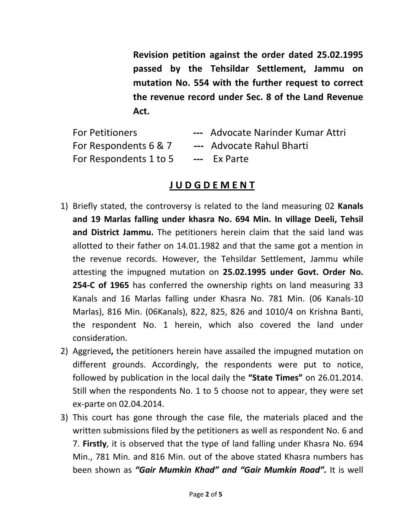Revision petition against the order dated 25.02.1995 passed by the Tehsildar Settlement, Jammu on mutation No. 554 with the further request to correct the revenue record under Sec. 8 of the Land Revenue Act.

| <b>For Petitioners</b> | --- Advocate Narinder Kumar Attri |
|------------------------|-----------------------------------|
| For Respondents 6 & 7  | --- Advocate Rahul Bharti         |
| For Respondents 1 to 5 | --- Ex Parte                      |

## J U D G D E M E N T

- 1) Briefly stated, the controversy is related to the land measuring 02 Kanals and 19 Marlas falling under khasra No. 694 Min. In village Deeli, Tehsil and District Jammu. The petitioners herein claim that the said land was allotted to their father on 14.01.1982 and that the same got a mention in the revenue records. However, the Tehsildar Settlement, Jammu while attesting the impugned mutation on 25.02.1995 under Govt. Order No. 254-C of 1965 has conferred the ownership rights on land measuring 33 Kanals and 16 Marlas falling under Khasra No. 781 Min. (06 Kanals-10 Marlas), 816 Min. (06Kanals), 822, 825, 826 and 1010/4 on Krishna Banti, the respondent No. 1 herein, which also covered the land under consideration.
- 2) Aggrieved, the petitioners herein have assailed the impugned mutation on different grounds. Accordingly, the respondents were put to notice, followed by publication in the local daily the "State Times" on 26.01.2014. Still when the respondents No. 1 to 5 choose not to appear, they were set ex-parte on 02.04.2014.
- 3) This court has gone through the case file, the materials placed and the written submissions filed by the petitioners as well as respondent No. 6 and 7. Firstly, it is observed that the type of land falling under Khasra No. 694 Min., 781 Min. and 816 Min. out of the above stated Khasra numbers has been shown as "Gair Mumkin Khad" and "Gair Mumkin Road". It is well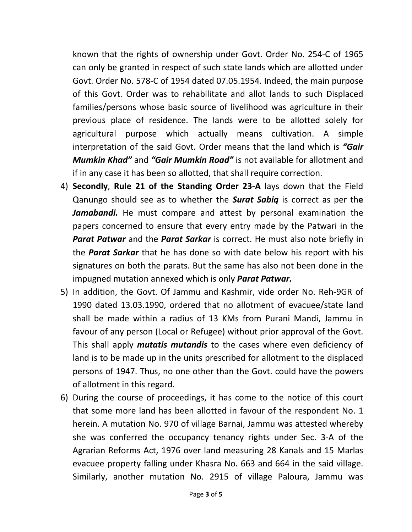known that the rights of ownership under Govt. Order No. 254-C of 1965 can only be granted in respect of such state lands which are allotted under Govt. Order No. 578-C of 1954 dated 07.05.1954. Indeed, the main purpose of this Govt. Order was to rehabilitate and allot lands to such Displaced families/persons whose basic source of livelihood was agriculture in their previous place of residence. The lands were to be allotted solely for agricultural purpose which actually means cultivation. A simple interpretation of the said Govt. Order means that the land which is "Gair **Mumkin Khad"** and "Gair Mumkin Road" is not available for allotment and if in any case it has been so allotted, that shall require correction.

- 4) Secondly, Rule 21 of the Standing Order 23-A lays down that the Field Qanungo should see as to whether the **Surat Sabiq** is correct as per the Jamabandi. He must compare and attest by personal examination the papers concerned to ensure that every entry made by the Patwari in the **Parat Patwar** and the **Parat Sarkar** is correct. He must also note briefly in the **Parat Sarkar** that he has done so with date below his report with his signatures on both the parats. But the same has also not been done in the impugned mutation annexed which is only **Parat Patwar.**
- 5) In addition, the Govt. Of Jammu and Kashmir, vide order No. Reh-9GR of 1990 dated 13.03.1990, ordered that no allotment of evacuee/state land shall be made within a radius of 13 KMs from Purani Mandi, Jammu in favour of any person (Local or Refugee) without prior approval of the Govt. This shall apply *mutatis mutandis* to the cases where even deficiency of land is to be made up in the units prescribed for allotment to the displaced persons of 1947. Thus, no one other than the Govt. could have the powers of allotment in this regard.
- 6) During the course of proceedings, it has come to the notice of this court that some more land has been allotted in favour of the respondent No. 1 herein. A mutation No. 970 of village Barnai, Jammu was attested whereby she was conferred the occupancy tenancy rights under Sec. 3-A of the Agrarian Reforms Act, 1976 over land measuring 28 Kanals and 15 Marlas evacuee property falling under Khasra No. 663 and 664 in the said village. Similarly, another mutation No. 2915 of village Paloura, Jammu was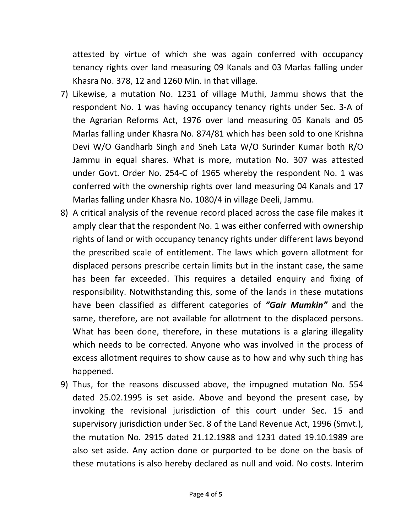attested by virtue of which she was again conferred with occupancy tenancy rights over land measuring 09 Kanals and 03 Marlas falling under Khasra No. 378, 12 and 1260 Min. in that village.

- 7) Likewise, a mutation No. 1231 of village Muthi, Jammu shows that the respondent No. 1 was having occupancy tenancy rights under Sec. 3-A of the Agrarian Reforms Act, 1976 over land measuring 05 Kanals and 05 Marlas falling under Khasra No. 874/81 which has been sold to one Krishna Devi W/O Gandharb Singh and Sneh Lata W/O Surinder Kumar both R/O Jammu in equal shares. What is more, mutation No. 307 was attested under Govt. Order No. 254-C of 1965 whereby the respondent No. 1 was conferred with the ownership rights over land measuring 04 Kanals and 17 Marlas falling under Khasra No. 1080/4 in village Deeli, Jammu.
- 8) A critical analysis of the revenue record placed across the case file makes it amply clear that the respondent No. 1 was either conferred with ownership rights of land or with occupancy tenancy rights under different laws beyond the prescribed scale of entitlement. The laws which govern allotment for displaced persons prescribe certain limits but in the instant case, the same has been far exceeded. This requires a detailed enquiry and fixing of responsibility. Notwithstanding this, some of the lands in these mutations have been classified as different categories of "Gair Mumkin" and the same, therefore, are not available for allotment to the displaced persons. What has been done, therefore, in these mutations is a glaring illegality which needs to be corrected. Anyone who was involved in the process of excess allotment requires to show cause as to how and why such thing has happened.
- 9) Thus, for the reasons discussed above, the impugned mutation No. 554 dated 25.02.1995 is set aside. Above and beyond the present case, by invoking the revisional jurisdiction of this court under Sec. 15 and supervisory jurisdiction under Sec. 8 of the Land Revenue Act, 1996 (Smvt.), the mutation No. 2915 dated 21.12.1988 and 1231 dated 19.10.1989 are also set aside. Any action done or purported to be done on the basis of these mutations is also hereby declared as null and void. No costs. Interim